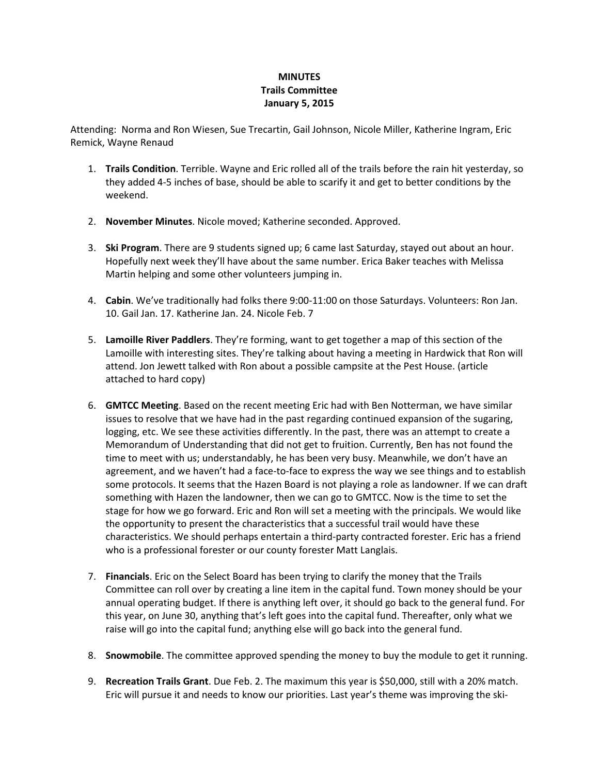## **MINUTES** Trails Committee January 5, 2015

Attending: Norma and Ron Wiesen, Sue Trecartin, Gail Johnson, Nicole Miller, Katherine Ingram, Eric Remick, Wayne Renaud

- 1. Trails Condition. Terrible. Wayne and Eric rolled all of the trails before the rain hit yesterday, so they added 4-5 inches of base, should be able to scarify it and get to better conditions by the weekend.
- 2. November Minutes. Nicole moved; Katherine seconded. Approved.
- 3. Ski Program. There are 9 students signed up; 6 came last Saturday, stayed out about an hour. Hopefully next week they'll have about the same number. Erica Baker teaches with Melissa Martin helping and some other volunteers jumping in.
- 4. Cabin. We've traditionally had folks there 9:00-11:00 on those Saturdays. Volunteers: Ron Jan. 10. Gail Jan. 17. Katherine Jan. 24. Nicole Feb. 7
- 5. Lamoille River Paddlers. They're forming, want to get together a map of this section of the Lamoille with interesting sites. They're talking about having a meeting in Hardwick that Ron will attend. Jon Jewett talked with Ron about a possible campsite at the Pest House. (article attached to hard copy)
- 6. GMTCC Meeting. Based on the recent meeting Eric had with Ben Notterman, we have similar issues to resolve that we have had in the past regarding continued expansion of the sugaring, logging, etc. We see these activities differently. In the past, there was an attempt to create a Memorandum of Understanding that did not get to fruition. Currently, Ben has not found the time to meet with us; understandably, he has been very busy. Meanwhile, we don't have an agreement, and we haven't had a face-to-face to express the way we see things and to establish some protocols. It seems that the Hazen Board is not playing a role as landowner. If we can draft something with Hazen the landowner, then we can go to GMTCC. Now is the time to set the stage for how we go forward. Eric and Ron will set a meeting with the principals. We would like the opportunity to present the characteristics that a successful trail would have these characteristics. We should perhaps entertain a third-party contracted forester. Eric has a friend who is a professional forester or our county forester Matt Langlais.
- 7. Financials. Eric on the Select Board has been trying to clarify the money that the Trails Committee can roll over by creating a line item in the capital fund. Town money should be your annual operating budget. If there is anything left over, it should go back to the general fund. For this year, on June 30, anything that's left goes into the capital fund. Thereafter, only what we raise will go into the capital fund; anything else will go back into the general fund.
- 8. Snowmobile. The committee approved spending the money to buy the module to get it running.
- 9. Recreation Trails Grant. Due Feb. 2. The maximum this year is \$50,000, still with a 20% match. Eric will pursue it and needs to know our priorities. Last year's theme was improving the ski-